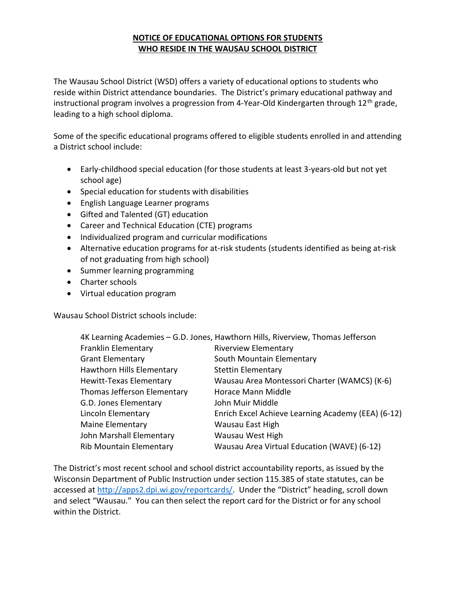## NOTICE OF EDUCATIONAL OPTIONS FOR STUDENTS WHO RESIDE IN THE WAUSAU SCHOOL DISTRICT

The Wausau School District (WSD) offers a variety of educational options to students who reside within District attendance boundaries. The District's primary educational pathway and instructional program involves a progression from 4-Year-Old Kindergarten through  $12<sup>th</sup>$  grade, leading to a high school diploma.

Some of the specific educational programs offered to eligible students enrolled in and attending a District school include:

- Early-childhood special education (for those students at least 3-years-old but not yet school age)
- Special education for students with disabilities
- English Language Learner programs
- Gifted and Talented (GT) education
- Career and Technical Education (CTE) programs
- Individualized program and curricular modifications
- Alternative education programs for at-risk students (students identified as being at-risk of not graduating from high school)
- Summer learning programming
- Charter schools
- Virtual education program

Wausau School District schools include:

|                                | 4K Learning Academies - G.D. Jones, Hawthorn Hills, Riverview, Thomas Jefferson |
|--------------------------------|---------------------------------------------------------------------------------|
| Franklin Elementary            | <b>Riverview Elementary</b>                                                     |
| <b>Grant Elementary</b>        | South Mountain Elementary                                                       |
| Hawthorn Hills Elementary      | <b>Stettin Elementary</b>                                                       |
| <b>Hewitt-Texas Elementary</b> | Wausau Area Montessori Charter (WAMCS) (K-6)                                    |
| Thomas Jefferson Elementary    | Horace Mann Middle                                                              |
| G.D. Jones Elementary          | John Muir Middle                                                                |
| Lincoln Elementary             | Enrich Excel Achieve Learning Academy (EEA) (6-12)                              |
| Maine Elementary               | Wausau East High                                                                |
| John Marshall Elementary       | Wausau West High                                                                |
| <b>Rib Mountain Elementary</b> | Wausau Area Virtual Education (WAVE) (6-12)                                     |
|                                |                                                                                 |

The District's most recent school and school district accountability reports, as issued by the Wisconsin Department of Public Instruction under section 115.385 of state statutes, can be accessed at http://apps2.dpi.wi.gov/reportcards/. Under the "District" heading, scroll down and select "Wausau." You can then select the report card for the District or for any school within the District.